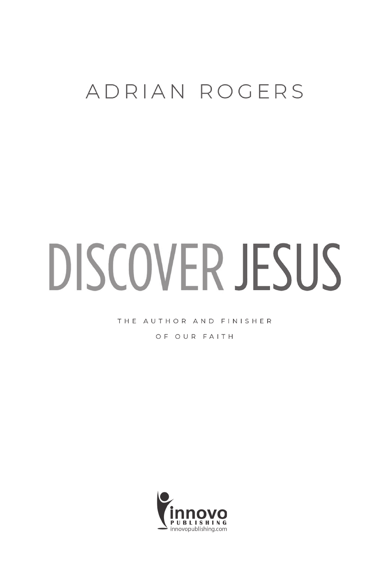### ADRIAN ROGERS

# DISCOVER JESUS

THE AUTHOR AND FINISHER

OF OUR FAITH

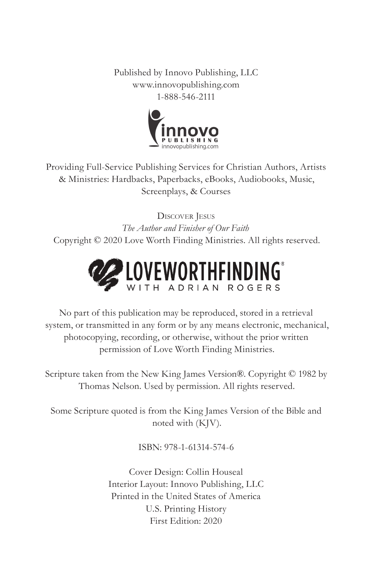Published by Innovo Publishing, LLC www.innovopublishing.com 1-888-546-2111



Providing Full-Service Publishing Services for Christian Authors, Artists & Ministries: Hardbacks, Paperbacks, eBooks, Audiobooks, Music, Screenplays, & Courses

Discover Jesus *The Author and Finisher of Our Faith* Copyright © 2020 Love Worth Finding Ministries. All rights reserved.



No part of this publication may be reproduced, stored in a retrieval system, or transmitted in any form or by any means electronic, mechanical, photocopying, recording, or otherwise, without the prior written permission of Love Worth Finding Ministries.

Scripture taken from the New King James Version®. Copyright © 1982 by Thomas Nelson. Used by permission. All rights reserved.

Some Scripture quoted is from the King James Version of the Bible and noted with (KJV).

ISBN: 978-1-61314-574-6

Cover Design: Collin Houseal Interior Layout: Innovo Publishing, LLC Printed in the United States of America U.S. Printing History First Edition: 2020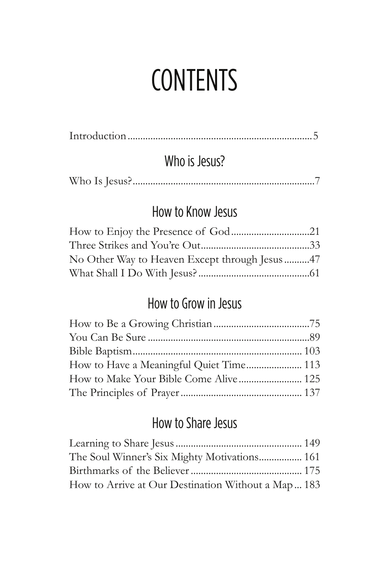### **CONTENTS**

|--|

### Who is Jesus?

### How to Know Jesus

| No Other Way to Heaven Except through Jesus 47 |  |
|------------------------------------------------|--|
|                                                |  |

### How to Grow in Jesus

| How to Have a Meaningful Quiet Time 113 |  |
|-----------------------------------------|--|
| How to Make Your Bible Come Alive 125   |  |
|                                         |  |

### How to Share Jesus

| The Soul Winner's Six Mighty Motivations 161        |  |
|-----------------------------------------------------|--|
|                                                     |  |
| How to Arrive at Our Destination Without a Map  183 |  |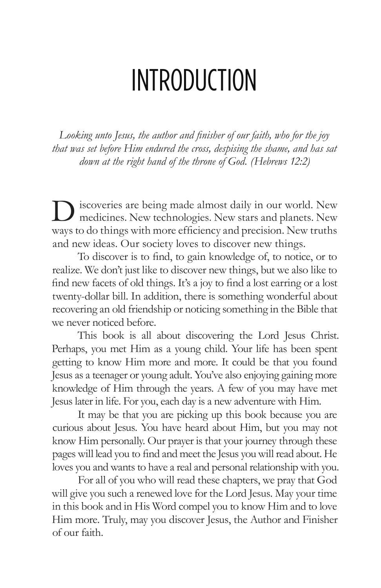### INTRODUCTION

*Looking unto Jesus, the author and finisher of our faith, who for the joy that was set before Him endured the cross, despising the shame, and has sat down at the right hand of the throne of God. (Hebrews 12:2)*

iscoveries are being made almost daily in our world. New medicines. New technologies. New stars and planets. New ways to do things with more efficiency and precision. New truths and new ideas. Our society loves to discover new things.

To discover is to find, to gain knowledge of, to notice, or to realize. We don't just like to discover new things, but we also like to find new facets of old things. It's a joy to find a lost earring or a lost twenty-dollar bill. In addition, there is something wonderful about recovering an old friendship or noticing something in the Bible that we never noticed before.

This book is all about discovering the Lord Jesus Christ. Perhaps, you met Him as a young child. Your life has been spent getting to know Him more and more. It could be that you found Jesus as a teenager or young adult. You've also enjoying gaining more knowledge of Him through the years. A few of you may have met Jesus later in life. For you, each day is a new adventure with Him.

It may be that you are picking up this book because you are curious about Jesus. You have heard about Him, but you may not know Him personally. Our prayer is that your journey through these pages will lead you to find and meet the Jesus you will read about. He loves you and wants to have a real and personal relationship with you.

For all of you who will read these chapters, we pray that God will give you such a renewed love for the Lord Jesus. May your time in this book and in His Word compel you to know Him and to love Him more. Truly, may you discover Jesus, the Author and Finisher of our faith.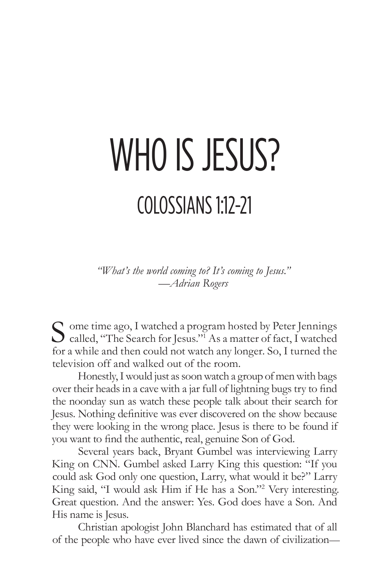## WHO IS JESUS? COLOSSIANS 1:12-21

*"What's the world coming to? It's coming to Jesus." —Adrian Rogers*

S ome time ago, I watched a program hosted by Peter Jennings<br>called, "The Search for Jesus."<sup>1</sup> As a matter of fact, I watched for a while and then could not watch any longer. So, I turned the television off and walked out of the room.

Honestly, I would just as soon watch a group of men with bags over their heads in a cave with a jar full of lightning bugs try to find the noonday sun as watch these people talk about their search for Jesus. Nothing definitive was ever discovered on the show because they were looking in the wrong place. Jesus is there to be found if you want to find the authentic, real, genuine Son of God.

Several years back, Bryant Gumbel was interviewing Larry King on CNN. Gumbel asked Larry King this question: "If you could ask God only one question, Larry, what would it be?" Larry King said, "I would ask Him if He has a Son."2 Very interesting. Great question. And the answer: Yes. God does have a Son. And His name is Jesus.

Christian apologist John Blanchard has estimated that of all of the people who have ever lived since the dawn of civilization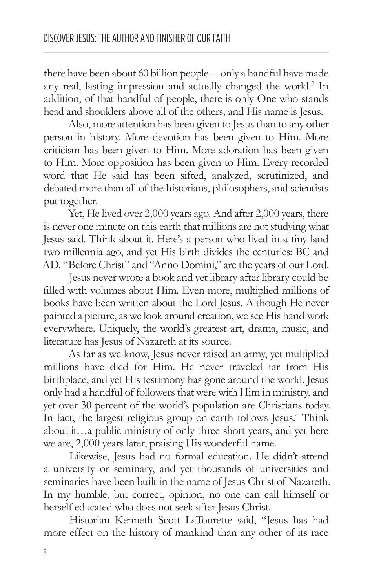there have been about 60 billion people—only a handful have made any real, lasting impression and actually changed the world.<sup>3</sup> In addition, of that handful of people, there is only One who stands head and shoulders above all of the others, and His name is Jesus.

Also, more attention has been given to Jesus than to any other person in history. More devotion has been given to Him. More criticism has been given to Him. More adoration has been given to Him. More opposition has been given to Him. Every recorded word that He said has been sifted, analyzed, scrutinized, and debated more than all of the historians, philosophers, and scientists put together.

Yet, He lived over 2,000 years ago. And after 2,000 years, there is never one minute on this earth that millions are not studying what Jesus said. Think about it. Here's a person who lived in a tiny land two millennia ago, and yet His birth divides the centuries: BC and AD. "Before Christ" and "Anno Domini," are the years of our Lord.

Jesus never wrote a book and yet library after library could be filled with volumes about Him. Even more, multiplied millions of books have been written about the Lord Jesus. Although He never painted a picture, as we look around creation, we see His handiwork everywhere. Uniquely, the world's greatest art, drama, music, and literature has Jesus of Nazareth at its source.

As far as we know, Jesus never raised an army, yet multiplied millions have died for Him. He never traveled far from His birthplace, and yet His testimony has gone around the world. Jesus only had a handful of followers that were with Him in ministry, and yet over 30 percent of the world's population are Christians today. In fact, the largest religious group on earth follows Jesus.<sup>4</sup> Think about it…a public ministry of only three short years, and yet here we are, 2,000 years later, praising His wonderful name.

Likewise, Jesus had no formal education. He didn't attend a university or seminary, and yet thousands of universities and seminaries have been built in the name of Jesus Christ of Nazareth. In my humble, but correct, opinion, no one can call himself or herself educated who does not seek after Jesus Christ.

Historian Kenneth Scott LaTourette said, "Jesus has had more effect on the history of mankind than any other of its race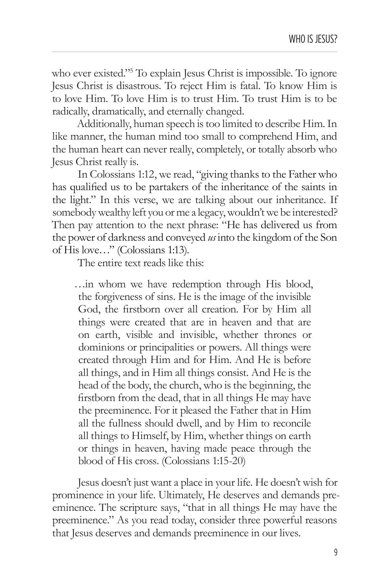who ever existed."<sup>5</sup> To explain Jesus Christ is impossible. To ignore Jesus Christ is disastrous. To reject Him is fatal. To know Him is to love Him. To love Him is to trust Him. To trust Him is to be radically, dramatically, and eternally changed.

Additionally, human speech is too limited to describe Him. In like manner, the human mind too small to comprehend Him, and the human heart can never really, completely, or totally absorb who Jesus Christ really is.

In Colossians 1:12, we read, "giving thanks to the Father who has qualified us to be partakers of the inheritance of the saints in the light." In this verse, we are talking about our inheritance. If somebody wealthy left you or me a legacy, wouldn't we be interested? Then pay attention to the next phrase: "He has delivered us from the power of darkness and conveyed *us* into the kingdom of the Son of His love…" (Colossians 1:13).

The entire text reads like this:

…in whom we have redemption through His blood, the forgiveness of sins. He is the image of the invisible God, the firstborn over all creation. For by Him all things were created that are in heaven and that are on earth, visible and invisible, whether thrones or dominions or principalities or powers. All things were created through Him and for Him. And He is before all things, and in Him all things consist. And He is the head of the body, the church, who is the beginning, the firstborn from the dead, that in all things He may have the preeminence. For it pleased the Father that in Him all the fullness should dwell, and by Him to reconcile all things to Himself, by Him, whether things on earth or things in heaven, having made peace through the blood of His cross. (Colossians 1:15-20)

Jesus doesn't just want a place in your life. He doesn't wish for prominence in your life. Ultimately, He deserves and demands preeminence. The scripture says, "that in all things He may have the preeminence." As you read today, consider three powerful reasons that Jesus deserves and demands preeminence in our lives.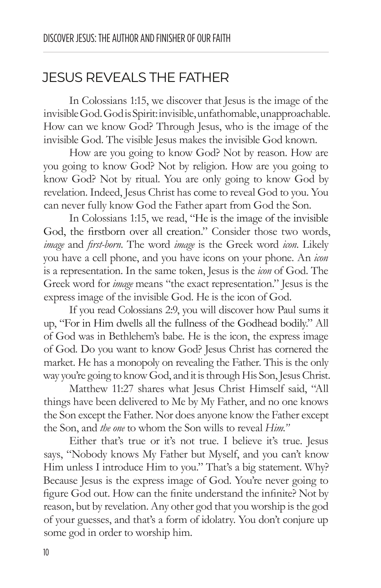### JESUS REVEALS THE FATHER

In Colossians 1:15, we discover that Jesus is the image of the invisible God. God is Spirit: invisible, unfathomable, unapproachable. How can we know God? Through Jesus, who is the image of the invisible God. The visible Jesus makes the invisible God known.

How are you going to know God? Not by reason. How are you going to know God? Not by religion. How are you going to know God? Not by ritual. You are only going to know God by revelation. Indeed, Jesus Christ has come to reveal God to you. You can never fully know God the Father apart from God the Son.

In Colossians 1:15, we read, "He is the image of the invisible God, the firstborn over all creation." Consider those two words, *image* and *first-born*. The word *image* is the Greek word *icon*. Likely you have a cell phone, and you have icons on your phone. An *icon* is a representation. In the same token, Jesus is the *icon* of God. The Greek word for *image* means "the exact representation." Jesus is the express image of the invisible God. He is the icon of God.

If you read Colossians 2:9, you will discover how Paul sums it up, "For in Him dwells all the fullness of the Godhead bodily." All of God was in Bethlehem's babe. He is the icon, the express image of God. Do you want to know God? Jesus Christ has cornered the market. He has a monopoly on revealing the Father. This is the only way you're going to know God, and it is through His Son, Jesus Christ.

Matthew 11:27 shares what Jesus Christ Himself said, "All things have been delivered to Me by My Father, and no one knows the Son except the Father. Nor does anyone know the Father except the Son, and *the one* to whom the Son wills to reveal *Him."*

Either that's true or it's not true. I believe it's true. Jesus says, "Nobody knows My Father but Myself, and you can't know Him unless I introduce Him to you." That's a big statement. Why? Because Jesus is the express image of God. You're never going to figure God out. How can the finite understand the infinite? Not by reason, but by revelation. Any other god that you worship is the god of your guesses, and that's a form of idolatry. You don't conjure up some god in order to worship him.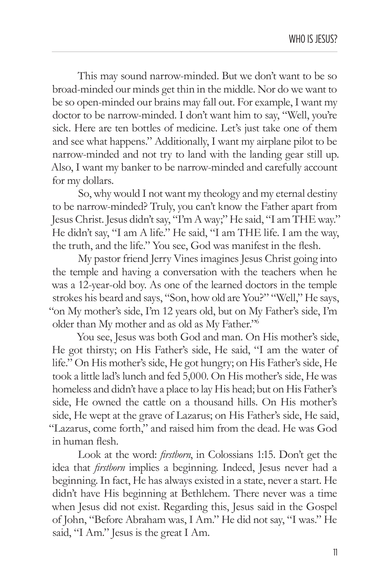This may sound narrow-minded. But we don't want to be so broad-minded our minds get thin in the middle. Nor do we want to be so open-minded our brains may fall out. For example, I want my doctor to be narrow-minded. I don't want him to say, "Well, you're sick. Here are ten bottles of medicine. Let's just take one of them and see what happens." Additionally, I want my airplane pilot to be narrow-minded and not try to land with the landing gear still up. Also, I want my banker to be narrow-minded and carefully account for my dollars.

So, why would I not want my theology and my eternal destiny to be narrow-minded? Truly, you can't know the Father apart from Jesus Christ. Jesus didn't say, "I'm A way;" He said, "I am THE way." He didn't say, "I am A life." He said, "I am THE life. I am the way, the truth, and the life." You see, God was manifest in the flesh.

My pastor friend Jerry Vines imagines Jesus Christ going into the temple and having a conversation with the teachers when he was a 12-year-old boy. As one of the learned doctors in the temple strokes his beard and says, "Son, how old are You?" "Well," He says, "on My mother's side, I'm 12 years old, but on My Father's side, I'm older than My mother and as old as My Father."6

You see, Jesus was both God and man. On His mother's side, He got thirsty; on His Father's side, He said, "I am the water of life." On His mother's side, He got hungry; on His Father's side, He took a little lad's lunch and fed 5,000. On His mother's side, He was homeless and didn't have a place to lay His head; but on His Father's side, He owned the cattle on a thousand hills. On His mother's side, He wept at the grave of Lazarus; on His Father's side, He said, "Lazarus, come forth," and raised him from the dead. He was God in human flesh.

Look at the word: *firstborn*, in Colossians 1:15. Don't get the idea that *firstborn* implies a beginning. Indeed, Jesus never had a beginning. In fact, He has always existed in a state, never a start. He didn't have His beginning at Bethlehem. There never was a time when Jesus did not exist. Regarding this, Jesus said in the Gospel of John, "Before Abraham was, I Am." He did not say, "I was." He said, "I Am." Jesus is the great I Am.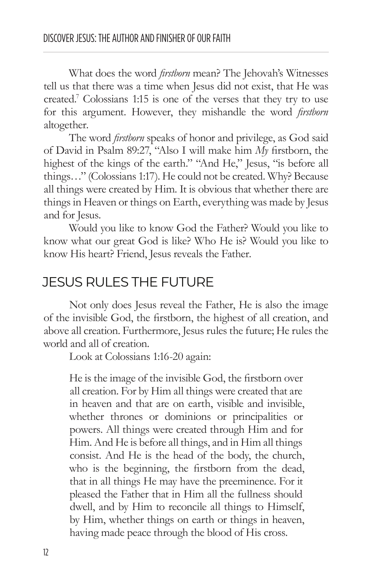What does the word *firstborn* mean? The Jehovah's Witnesses tell us that there was a time when Jesus did not exist, that He was created.7 Colossians 1:15 is one of the verses that they try to use for this argument. However, they mishandle the word *firstborn* altogether.

The word *firstborn* speaks of honor and privilege, as God said of David in Psalm 89:27, "Also I will make him *My* firstborn, the highest of the kings of the earth." "And He," Jesus, "is before all things…" (Colossians 1:17). He could not be created. Why? Because all things were created by Him. It is obvious that whether there are things in Heaven or things on Earth, everything was made by Jesus and for Jesus.

Would you like to know God the Father? Would you like to know what our great God is like? Who He is? Would you like to know His heart? Friend, Jesus reveals the Father.

#### JESUS RULES THE FUTURE

Not only does Jesus reveal the Father, He is also the image of the invisible God, the firstborn, the highest of all creation, and above all creation. Furthermore, Jesus rules the future; He rules the world and all of creation.

Look at Colossians 1:16-20 again:

He is the image of the invisible God, the firstborn over all creation. For by Him all things were created that are in heaven and that are on earth, visible and invisible, whether thrones or dominions or principalities or powers. All things were created through Him and for Him. And He is before all things, and in Him all things consist. And He is the head of the body, the church, who is the beginning, the firstborn from the dead, that in all things He may have the preeminence. For it pleased the Father that in Him all the fullness should dwell, and by Him to reconcile all things to Himself, by Him, whether things on earth or things in heaven, having made peace through the blood of His cross.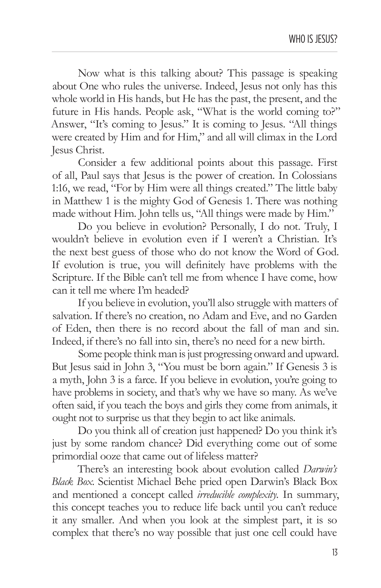Now what is this talking about? This passage is speaking about One who rules the universe. Indeed, Jesus not only has this whole world in His hands, but He has the past, the present, and the future in His hands. People ask, "What is the world coming to?" Answer, "It's coming to Jesus." It is coming to Jesus. "All things were created by Him and for Him," and all will climax in the Lord Jesus Christ.

Consider a few additional points about this passage. First of all, Paul says that Jesus is the power of creation. In Colossians 1:16, we read, "For by Him were all things created." The little baby in Matthew 1 is the mighty God of Genesis 1. There was nothing made without Him. John tells us, "All things were made by Him."

Do you believe in evolution? Personally, I do not. Truly, I wouldn't believe in evolution even if I weren't a Christian. It's the next best guess of those who do not know the Word of God. If evolution is true, you will definitely have problems with the Scripture. If the Bible can't tell me from whence I have come, how can it tell me where I'm headed?

If you believe in evolution, you'll also struggle with matters of salvation. If there's no creation, no Adam and Eve, and no Garden of Eden, then there is no record about the fall of man and sin. Indeed, if there's no fall into sin, there's no need for a new birth.

Some people think man is just progressing onward and upward. But Jesus said in John 3, "You must be born again." If Genesis 3 is a myth, John 3 is a farce. If you believe in evolution, you're going to have problems in society, and that's why we have so many. As we've often said, if you teach the boys and girls they come from animals, it ought not to surprise us that they begin to act like animals.

Do you think all of creation just happened? Do you think it's just by some random chance? Did everything come out of some primordial ooze that came out of lifeless matter?

There's an interesting book about evolution called *Darwin's Black Box*. Scientist Michael Behe pried open Darwin's Black Box and mentioned a concept called *irreducible complexity.* In summary, this concept teaches you to reduce life back until you can't reduce it any smaller. And when you look at the simplest part, it is so complex that there's no way possible that just one cell could have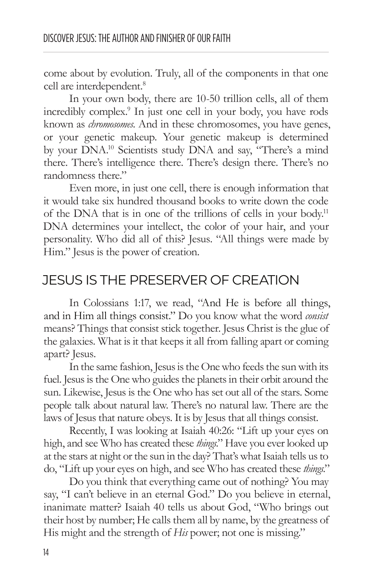come about by evolution. Truly, all of the components in that one cell are interdependent.<sup>8</sup>

In your own body, there are 10-50 trillion cells, all of them incredibly complex.9 In just one cell in your body, you have rods known as *chromosomes*. And in these chromosomes, you have genes, or your genetic makeup. Your genetic makeup is determined by your DNA.10 Scientists study DNA and say, "There's a mind there. There's intelligence there. There's design there. There's no randomness there."

Even more, in just one cell, there is enough information that it would take six hundred thousand books to write down the code of the DNA that is in one of the trillions of cells in your body.<sup>11</sup> DNA determines your intellect, the color of your hair, and your personality. Who did all of this? Jesus. "All things were made by Him." Jesus is the power of creation.

### JESUS IS THE PRESERVER OF CREATION

In Colossians 1:17, we read, "And He is before all things, and in Him all things consist." Do you know what the word *consist* means? Things that consist stick together. Jesus Christ is the glue of the galaxies. What is it that keeps it all from falling apart or coming apart? Jesus.

In the same fashion, Jesus is the One who feeds the sun with its fuel. Jesus is the One who guides the planets in their orbit around the sun. Likewise, Jesus is the One who has set out all of the stars. Some people talk about natural law. There's no natural law. There are the laws of Jesus that nature obeys. It is by Jesus that all things consist.

Recently, I was looking at Isaiah 40:26: "Lift up your eyes on high, and see Who has created these *things*." Have you ever looked up at the stars at night or the sun in the day? That's what Isaiah tells us to do, "Lift up your eyes on high, and see Who has created these *things*."

Do you think that everything came out of nothing? You may say, "I can't believe in an eternal God." Do you believe in eternal, inanimate matter? Isaiah 40 tells us about God, "Who brings out their host by number; He calls them all by name, by the greatness of His might and the strength of *His* power; not one is missing."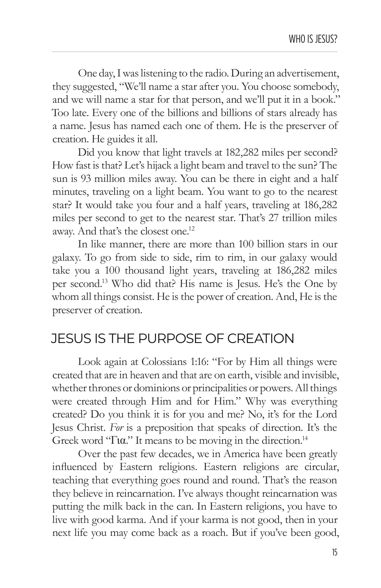One day, I was listening to the radio. During an advertisement, they suggested, "We'll name a star after you. You choose somebody, and we will name a star for that person, and we'll put it in a book." Too late. Every one of the billions and billions of stars already has a name. Jesus has named each one of them. He is the preserver of creation. He guides it all.

Did you know that light travels at 182,282 miles per second? How fast is that? Let's hijack a light beam and travel to the sun? The sun is 93 million miles away. You can be there in eight and a half minutes, traveling on a light beam. You want to go to the nearest star? It would take you four and a half years, traveling at 186,282 miles per second to get to the nearest star. That's 27 trillion miles away. And that's the closest one.12

In like manner, there are more than 100 billion stars in our galaxy. To go from side to side, rim to rim, in our galaxy would take you a 100 thousand light years, traveling at 186,282 miles per second.13 Who did that? His name is Jesus. He's the One by whom all things consist. He is the power of creation. And, He is the preserver of creation.

### JESUS IS THE PURPOSE OF CREATION

Look again at Colossians 1:16: "For by Him all things were created that are in heaven and that are on earth, visible and invisible, whether thrones or dominions or principalities or powers. All things were created through Him and for Him." Why was everything created? Do you think it is for you and me? No, it's for the Lord Jesus Christ. *For* is a preposition that speaks of direction. It's the Greek word "Για." It means to be moving in the direction.14

Over the past few decades, we in America have been greatly influenced by Eastern religions. Eastern religions are circular, teaching that everything goes round and round. That's the reason they believe in reincarnation. I've always thought reincarnation was putting the milk back in the can. In Eastern religions, you have to live with good karma. And if your karma is not good, then in your next life you may come back as a roach. But if you've been good,